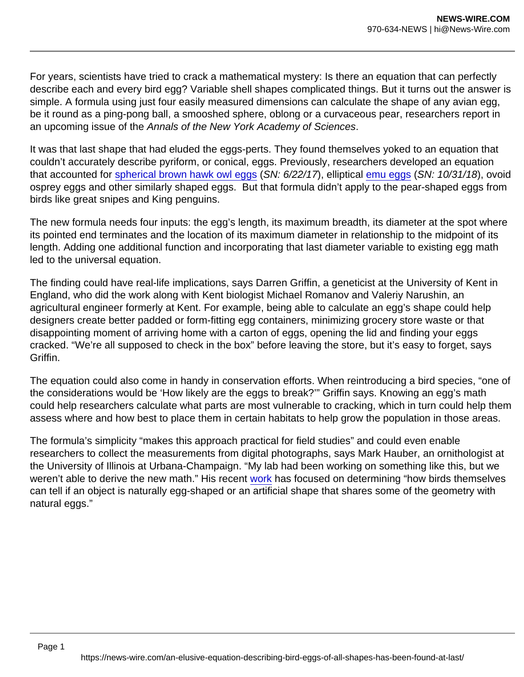For years, scientists have tried to crack a mathematical mystery: Is there an equation that can perfectly describe each and every bird egg? Variable shell shapes complicated things. But it turns out the answer is simple. A formula using just four easily measured dimensions can calculate the shape of any avian egg, be it round as a ping-pong ball, a smooshed sphere, oblong or a curvaceous pear, researchers report in an upcoming issue of the Annals of the New York Academy of Sciences.

It was that last shape that had eluded the eggs-perts. They found themselves yoked to an equation that couldn't accurately describe pyriform, or conical, eggs. Previously, researchers developed an equation that accounted for [spherical brown hawk owl eggs](https://www.sciencenews.org/article/flight-demands-may-have-steered-evolution-bird-egg-shape) (SN: 6/22/17), elliptical [emu eggs](https://www.sciencenews.org/article/eggs-evolved-color-and-speckles-only-once-during-dinosaur-age) (SN: 10/31/18), ovoid osprey eggs and other similarly shaped eggs. But that formula didn't apply to the pear-shaped eggs from birds like great snipes and King penguins.

The new formula needs four inputs: the egg's length, its maximum breadth, its diameter at the spot where its pointed end terminates and the location of its maximum diameter in relationship to the midpoint of its length. Adding one additional function and incorporating that last diameter variable to existing egg math led to the universal equation.

The finding could have real-life implications, says Darren Griffin, a geneticist at the University of Kent in England, who did the work along with Kent biologist Michael Romanov and Valeriy Narushin, an agricultural engineer formerly at Kent. For example, being able to calculate an egg's shape could help designers create better padded or form-fitting egg containers, minimizing grocery store waste or that disappointing moment of arriving home with a carton of eggs, opening the lid and finding your eggs cracked. "We're all supposed to check in the box" before leaving the store, but it's easy to forget, says Griffin.

The equation could also come in handy in conservation efforts. When reintroducing a bird species, "one of the considerations would be 'How likely are the eggs to break?'" Griffin says. Knowing an egg's math could help researchers calculate what parts are most vulnerable to cracking, which in turn could help them assess where and how best to place them in certain habitats to help grow the population in those areas.

The formula's simplicity "makes this approach practical for field studies" and could even enable researchers to collect the measurements from digital photographs, says Mark Hauber, an ornithologist at the University of Illinois at Urbana-Champaign. "My lab had been working on something like this, but we weren't able to derive the new math." His recent [work](https://royalsocietypublishing.org/doi/10.1098/rsos.201615) has focused on determining "how birds themselves can tell if an object is naturally egg-shaped or an artificial shape that shares some of the geometry with natural eggs."